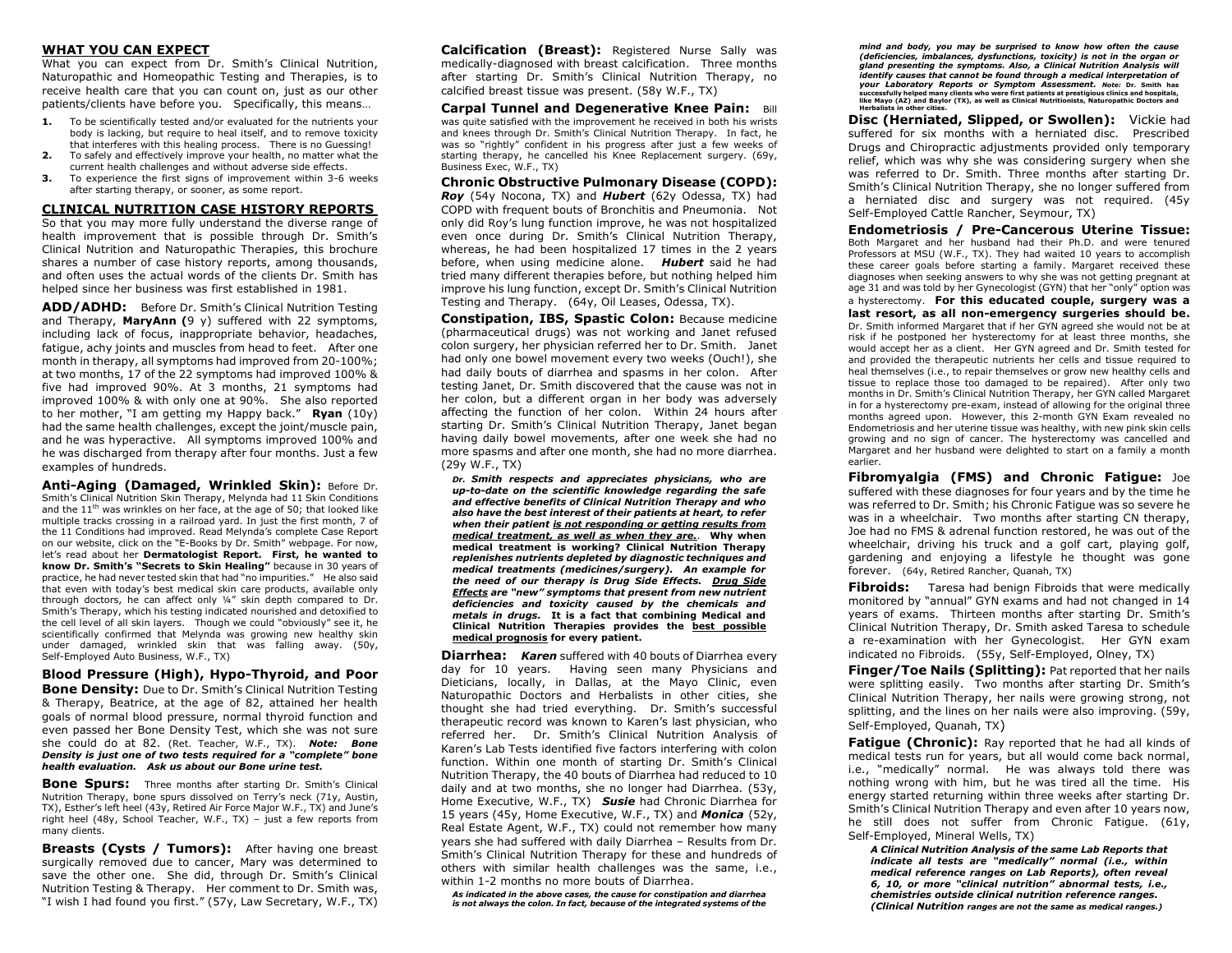### **WHAT YOU CAN EXPECT**

What you can expect from Dr. Smith's Clinical Nutrition, Naturopathic and Homeopathic Testing and Therapies, is to receive health care that you can count on, just as our other patients/clients have before you. Specifically, this means…

- **1.** To be scientifically tested and/or evaluated for the nutrients your body is lacking, but require to heal itself, and to remove toxicity that interferes with this healing process. There is no Guessing!
- **2.** To safely and effectively improve your health, no matter what the current health challenges and without adverse side effects.
- **3.** To experience the first signs of improvement within 3-6 weeks after starting therapy, or sooner, as some report.

### **CLINICAL NUTRITION CASE HISTORY REPORTS**

So that you may more fully understand the diverse range of health improvement that is possible through Dr. Smith's Clinical Nutrition and Naturopathic Therapies, this brochure shares a number of case history reports, among thousands, and often uses the actual words of the clients Dr. Smith has helped since her business was first established in 1981.

**ADD/ADHD:** Before Dr. Smith's Clinical Nutrition Testing and Therapy, **MaryAnn (**9 y) suffered with 22 symptoms, including lack of focus, inappropriate behavior, headaches, fatigue, achy joints and muscles from head to feet. After one month in therapy, all symptoms had improved from 20-100%; at two months, 17 of the 22 symptoms had improved 100% & five had improved 90%. At 3 months, 21 symptoms had improved 100% & with only one at 90%. She also reported to her mother, "I am getting my Happy back." **Ryan** (10y) had the same health challenges, except the joint/muscle pain, and he was hyperactive. All symptoms improved 100% and he was discharged from therapy after four months. Just a few examples of hundreds.

**Anti-Aging (Damaged, Wrinkled Skin):** Before Dr. Smith's Clinical Nutrition Skin Therapy, Melynda had 11 Skin Conditions and the  $11<sup>th</sup>$  was wrinkles on her face, at the age of 50; that looked like multiple tracks crossing in a railroad yard. In just the first month, 7 of the 11 Conditions had improved. Read Melynda's complete Case Report on our website, click on the "E-Books by Dr. Smith" webpage. For now, let's read about her **Dermatologist Report. First, he wanted to know Dr. Smith's "Secrets to Skin Healing"** because in 30 years of practice, he had never tested skin that had "no impurities." He also said that even with today's best medical skin care products, available only through doctors, he can affect only ¼" skin depth compared to Dr. Smith's Therapy, which his testing indicated nourished and detoxified to the cell level of all skin layers. Though we could "obviously" see it, he scientifically confirmed that Melynda was growing new healthy skin under damaged, wrinkled skin that was falling away. (50y, Self-Employed Auto Business, W.F., TX)

**Blood Pressure (High), Hypo-Thyroid, and Poor Bone Density:** Due to Dr. Smith's Clinical Nutrition Testing & Therapy, Beatrice, at the age of 82, attained her health goals of normal blood pressure, normal thyroid function and even passed her Bone Density Test, which she was not sure she could do at 82. (Ret. Teacher, W.F., TX). *Note: Bone Density is just one of two tests required for a "complete" bone health evaluation. Ask us about our Bone urine test.*

**Bone Spurs:** Three months after starting Dr. Smith's Clinical Nutrition Therapy, bone spurs dissolved on Terry's neck (71y, Austin, TX), Esther's left heel (43y, Retired Air Force Major W.F., TX) and June's right heel (48y, School Teacher, W.F., TX) – just a few reports from many clients.

**Breasts (Cysts / Tumors):** After having one breast surgically removed due to cancer, Mary was determined to save the other one. She did, through Dr. Smith's Clinical Nutrition Testing & Therapy. Her comment to Dr. Smith was, "I wish I had found you first." (57y, Law Secretary, W.F., TX)

**Calcification (Breast):** Registered Nurse Sally was medically-diagnosed with breast calcification. Three months after starting Dr. Smith's Clinical Nutrition Therapy, no calcified breast tissue was present. (58y W.F., TX)

**Carpal Tunnel and Degenerative Knee Pain:** Bill was quite satisfied with the improvement he received in both his wrists and knees through Dr. Smith's Clinical Nutrition Therapy. In fact, he was so "rightly" confident in his progress after just a few weeks of starting therapy, he cancelled his Knee Replacement surgery. (69y, Business Exec, W.F., TX)

**Chronic Obstructive Pulmonary Disease (COPD):** *Roy* (54y Nocona, TX) and *Hubert* (62y Odessa, TX) had COPD with frequent bouts of Bronchitis and Pneumonia. Not only did Roy's lung function improve, he was not hospitalized even once during Dr. Smith's Clinical Nutrition Therapy, whereas, he had been hospitalized 17 times in the 2 years before, when using medicine alone. *Hubert* said he had tried many different therapies before, but nothing helped him improve his lung function, except Dr. Smith's Clinical Nutrition Testing and Therapy. (64y, Oil Leases, Odessa, TX).

**Constipation, IBS, Spastic Colon:** Because medicine (pharmaceutical drugs) was not working and Janet refused colon surgery, her physician referred her to Dr. Smith. Janet had only one bowel movement every two weeks (Ouch!), she had daily bouts of diarrhea and spasms in her colon. After testing Janet, Dr. Smith discovered that the cause was not in her colon, but a different organ in her body was adversely affecting the function of her colon. Within 24 hours after starting Dr. Smith's Clinical Nutrition Therapy, Janet began having daily bowel movements, after one week she had no more spasms and after one month, she had no more diarrhea. (29y W.F., TX)

*Dr. Smith respects and appreciates physicians, who are up-to-date on the scientific knowledge regarding the safe and effective benefits of Clinical Nutrition Therapy and who also have the best interest of their patients at heart, to refer when their patient is not responding or getting results from medical treatment, as well as when they are.*. **Why when medical treatment is working? Clinical Nutrition Therapy**  *replenishes nutrients depleted by diagnostic techniques and medical treatments (medicines/surgery). An example for the need of our therapy is Drug Side Effects. Drug Side Effects are "new" symptoms that present from new nutrient deficiencies and toxicity caused by the chemicals and metals in drugs.* **It is a fact that combining Medical and Clinical Nutrition Therapies provides the best possible medical prognosis for every patient.**

**Diarrhea:** *Karen* suffered with 40 bouts of Diarrhea every day for 10 years. Having seen many Physicians and Dieticians, locally, in Dallas, at the Mayo Clinic, even Naturopathic Doctors and Herbalists in other cities, she thought she had tried everything. Dr. Smith's successful therapeutic record was known to Karen's last physician, who referred her. Dr. Smith's Clinical Nutrition Analysis of Karen's Lab Tests identified five factors interfering with colon function. Within one month of starting Dr. Smith's Clinical Nutrition Therapy, the 40 bouts of Diarrhea had reduced to 10 daily and at two months, she no longer had Diarrhea. (53y, Home Executive, W.F., TX) *Susie* had Chronic Diarrhea for 15 years (45y, Home Executive, W.F., TX) and *Monica* (52y, Real Estate Agent, W.F., TX) could not remember how many years she had suffered with daily Diarrhea – Results from Dr. Smith's Clinical Nutrition Therapy for these and hundreds of others with similar health challenges was the same, i.e., within 1-2 months no more bouts of Diarrhea.

*As indicated in the above cases, the cause for constipation and diarrhea is not always the colon. In fact, because of the integrated systems of the*  *mind and body, you may be surprised to know how often the cause (deficiencies, imbalances, dysfunctions, toxicity) is not in the organ or gland presenting the symptoms. Also, a Clinical Nutrition Analysis will identify causes that cannot be found through a medical interpretation of your Laboratory Reports or Symptom Assessment. Note:* **Dr. Smith has successfully helped many clients who were first patients at prestigious clinics and hospitals, like Mayo (AZ) and Baylor (TX), as well as Clinical Nutritionists, Naturopathic Doctors and Herbalists in other cities.**

**Disc (Herniated, Slipped, or Swollen):** Vickie had suffered for six months with a herniated disc. Prescribed Drugs and Chiropractic adjustments provided only temporary relief, which was why she was considering surgery when she was referred to Dr. Smith. Three months after starting Dr. Smith's Clinical Nutrition Therapy, she no longer suffered from a herniated disc and surgery was not required. (45y Self-Employed Cattle Rancher, Seymour, TX)

**Endometriosis / Pre-Cancerous Uterine Tissue:**  Both Margaret and her husband had their Ph.D. and were tenured Professors at MSU (W.F., TX). They had waited 10 years to accomplish these career goals before starting a family. Margaret received these diagnoses when seeking answers to why she was not getting pregnant at age 31 and was told by her Gynecologist (GYN) that her "only" option was a hysterectomy. **For this educated couple, surgery was a last resort, as all non-emergency surgeries should be.**  Dr. Smith informed Margaret that if her GYN agreed she would not be at risk if he postponed her hysterectomy for at least three months, she would accept her as a client. Her GYN agreed and Dr. Smith tested for and provided the therapeutic nutrients her cells and tissue required to heal themselves (i.e., to repair themselves or grow new healthy cells and tissue to replace those too damaged to be repaired). After only two months in Dr. Smith's Clinical Nutrition Therapy, her GYN called Margaret in for a hysterectomy pre-exam, instead of allowing for the original three months agreed upon. However, this 2-month GYN Exam revealed no Endometriosis and her uterine tissue was healthy, with new pink skin cells growing and no sign of cancer. The hysterectomy was cancelled and Margaret and her husband were delighted to start on a family a month earlier.

**Fibromyalgia (FMS) and Chronic Fatigue:** Joe suffered with these diagnoses for four years and by the time he was referred to Dr. Smith; his Chronic Fatigue was so severe he was in a wheelchair. Two months after starting CN therapy, Joe had no FMS & adrenal function restored, he was out of the wheelchair, driving his truck and a golf cart, playing golf, gardening and enjoying a lifestyle he thought was gone forever. (64y, Retired Rancher, Quanah, TX)

**Fibroids:** Taresa had benign Fibroids that were medically monitored by "annual" GYN exams and had not changed in 14 years of exams. Thirteen months after starting Dr. Smith's Clinical Nutrition Therapy, Dr. Smith asked Taresa to schedule a re-examination with her Gynecologist. Her GYN exam indicated no Fibroids. (55y, Self-Employed, Olney, TX)

**Finger/Toe Nails (Splitting):** Pat reported that her nails were splitting easily. Two months after starting Dr. Smith's Clinical Nutrition Therapy, her nails were growing strong, not splitting, and the lines on her nails were also improving. (59y, Self-Employed, Quanah, TX)

**Fatigue (Chronic):** Ray reported that he had all kinds of medical tests run for years, but all would come back normal, i.e., "medically" normal. He was always told there was nothing wrong with him, but he was tired all the time. His energy started returning within three weeks after starting Dr. Smith's Clinical Nutrition Therapy and even after 10 years now, he still does not suffer from Chronic Fatigue. (61y, Self-Employed, Mineral Wells, TX)

*A Clinical Nutrition Analysis of the same Lab Reports that indicate all tests are "medically" normal (i.e., within medical reference ranges on Lab Reports), often reveal 6, 10, or more "clinical nutrition" abnormal tests, i.e., chemistries outside clinical nutrition reference ranges. (Clinical Nutrition ranges are not the same as medical ranges.)*